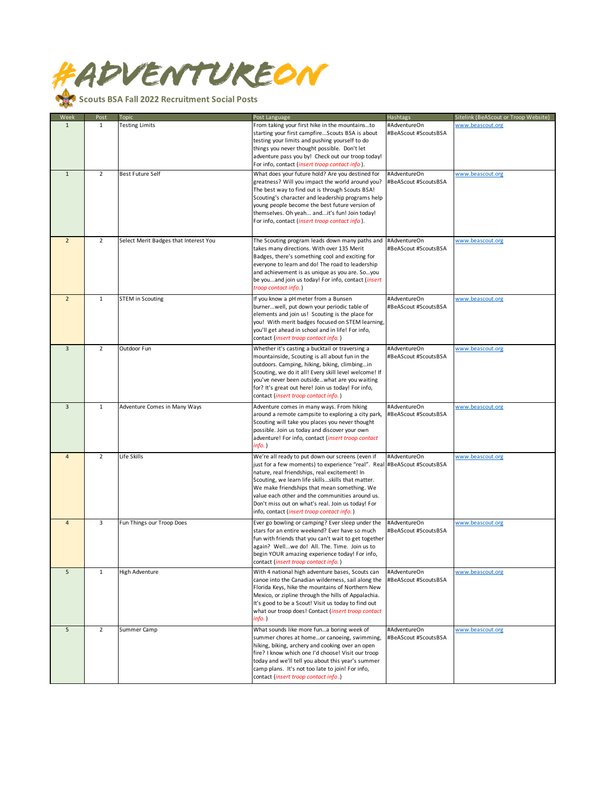

| Week           | Post           | Topic                                 | Post Language                                                                                                                                                                                                                                                                                                                                                                                                                          | Hashtags                             | Sitelink (BeAScout or Troop Website) |
|----------------|----------------|---------------------------------------|----------------------------------------------------------------------------------------------------------------------------------------------------------------------------------------------------------------------------------------------------------------------------------------------------------------------------------------------------------------------------------------------------------------------------------------|--------------------------------------|--------------------------------------|
| $\mathbf{1}$   | 1              | <b>Testing Limits</b>                 | From taking your first hike in the mountainsto<br>starting your first campfireScouts BSA is about<br>testing your limits and pushing yourself to do<br>things you never thought possible. Don't let<br>adventure pass you by! Check out our troop today!<br>For info, contact (insert troop contact info).                                                                                                                             | #AdventureOn<br>#BeAScout #ScoutsBSA | www.beascout.org                     |
| $\mathbf{1}$   | $\overline{2}$ | <b>Best Future Self</b>               | What does your future hold? Are you destined for<br>greatness? Will you impact the world around you?<br>The best way to find out is through Scouts BSA!<br>Scouting's character and leadership programs help<br>young people become the best future version of<br>themselves. Oh yeah andit's fun! Join today!<br>For info, contact (insert troop contact info).                                                                       | #AdventureOn<br>#BeAScout #ScoutsBSA | www.beascout.org                     |
| $\overline{2}$ | $\overline{2}$ | Select Merit Badges that Interest You | The Scouting program leads down many paths and<br>takes many directions. With over 135 Merit<br>Badges, there's something cool and exciting for<br>everyone to learn and do! The road to leadership<br>and achievement is as unique as you are. Soyou<br>be youand join us today! For info, contact (insert<br>troop contact info.)                                                                                                    | #AdventureOn<br>#BeAScout #ScoutsBSA | www.beascout.org                     |
| $\overline{2}$ | $\mathbf{1}$   | <b>STEM in Scouting</b>               | If you know a pH meter from a Bunsen<br>burnerwell, put down your periodic table of<br>elements and join us! Scouting is the place for<br>you! With merit badges focused on STEM learning,<br>you'll get ahead in school and in life! For info,<br>contact (insert troop contact info.)                                                                                                                                                | #AdventureOn<br>#BeAScout #ScoutsBSA | www.beascout.org                     |
| 3              | $\overline{2}$ | Outdoor Fun                           | Whether it's casting a bucktail or traversing a<br>mountainside, Scouting is all about fun in the<br>outdoors. Camping, hiking, biking, climbingin<br>Scouting, we do it all! Every skill level welcome! If<br>you've never been outsidewhat are you waiting<br>for? It's great out here! Join us today! For info,<br>contact (insert troop contact info.)                                                                             | #AdventureOn<br>#BeAScout #ScoutsBSA | www.beascout.org                     |
| $\overline{3}$ | $\mathbf 1$    | Adventure Comes in Many Ways          | Adventure comes in many ways. From hiking<br>around a remote campsite to exploring a city park,<br>Scouting will take you places you never thought<br>possible. Join us today and discover your own<br>adventure! For info, contact (insert troop contact<br>info.)                                                                                                                                                                    | #AdventureOn<br>#BeAScout #ScoutsBSA | www.beascout.org                     |
| $\overline{4}$ | $\overline{2}$ | Life Skills                           | We're all ready to put down our screens (even if<br>just for a few moments) to experience "real". Real #BeAScout #ScoutsBSA<br>nature, real friendships, real excitement! In<br>Scouting, we learn life skillsskills that matter.<br>We make friendships that mean something. We<br>value each other and the communities around us.<br>Don't miss out on what's real. Join us today! For<br>info, contact (insert troop contact info.) | #AdventureOn                         | www.beascout.org                     |
| $\overline{4}$ | 3              | Fun Things our Troop Does             | Ever go bowling or camping? Ever sleep under the<br>stars for an entire weekend? Ever have so much<br>fun with friends that you can't wait to get together<br>again? Wellwe do! All. The. Time. Join us to<br>begin YOUR amazing experience today! For info,<br>contact (insert troop contact info.)                                                                                                                                   | #AdventureOn<br>#BeAScout #ScoutsBSA | www.beascout.org                     |
| 5              | $\mathbf{1}$   | High Adventure                        | With 4 national high adventure bases, Scouts can<br>canoe into the Canadian wilderness, sail along the<br>Florida Keys, hike the mountains of Northern New<br>Mexico, or zipline through the hills of Appalachia.<br>It's good to be a Scout! Visit us today to find out<br>what our troop does! Contact (insert troop contact<br>$info.$ )                                                                                            | #AdventureOn<br>#BeAScout #ScoutsBSA | www.beascout.org                     |
| 5              | $\overline{2}$ | Summer Camp                           | What sounds like more funa boring week of<br>summer chores at homeor canoeing, swimming,<br>hiking, biking, archery and cooking over an open<br>fire? I know which one I'd choose! Visit our troop<br>today and we'll tell you about this year's summer<br>camp plans. It's not too late to join! For info,<br>contact (insert troop contact info.)                                                                                    | #AdventureOn<br>#BeAScout #ScoutsBSA | www.beascout.org                     |